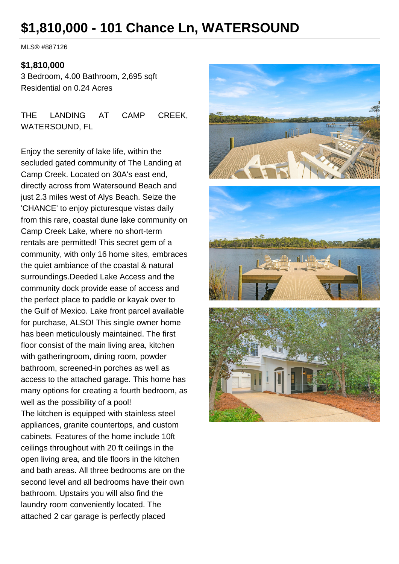# **\$1,810,000 - 101 Chance Ln, WATERSOUND**

MLS® #887126

#### **\$1,810,000**

3 Bedroom, 4.00 Bathroom, 2,695 sqft Residential on 0.24 Acres

THE LANDING AT CAMP CREEK WATERSOUND, FL

Enjoy the serenity of lake life, within the secluded gated community of The Landing at Camp Creek. Located on 30A's east end, directly across from Watersound Beach and just 2.3 miles west of Alys Beach. Seize the 'CHANCE' to enjoy picturesque vistas daily from this rare, coastal dune lake community on Camp Creek Lake, where no short-term rentals are permitted! This secret gem of a community, with only 16 home sites, embraces the quiet ambiance of the coastal & natural surroundings.Deeded Lake Access and the community dock provide ease of access and the perfect place to paddle or kayak over to the Gulf of Mexico. Lake front parcel available for purchase, ALSO! This single owner home has been meticulously maintained. The first floor consist of the main living area, kitchen with gatheringroom, dining room, powder bathroom, screened-in porches as well as access to the attached garage. This home has many options for creating a fourth bedroom, as well as the possibility of a pool! The kitchen is equipped with stainless steel appliances, granite countertops, and custom cabinets. Features of the home include 10ft ceilings throughout with 20 ft ceilings in the open living area, and tile floors in the kitchen and bath areas. All three bedrooms are on the second level and all bedrooms have their own bathroom. Upstairs you will also find the laundry room conveniently located. The attached 2 car garage is perfectly placed

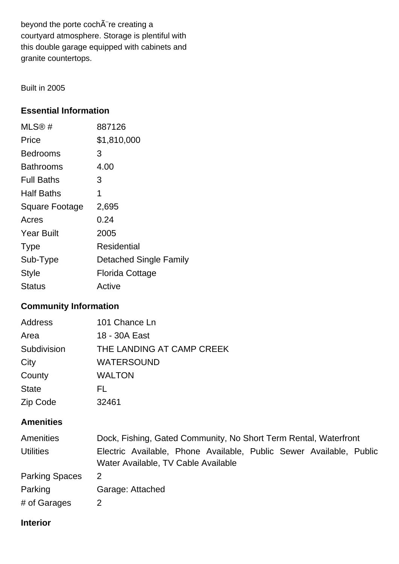beyond the porte cochÂ"re creating a courtyard atmosphere. Storage is plentiful with this double garage equipped with cabinets and granite countertops.

Built in 2005

### **Essential Information**

| MLS®#                 | 887126                        |
|-----------------------|-------------------------------|
| Price                 | \$1,810,000                   |
| Bedrooms              | 3                             |
| <b>Bathrooms</b>      | 4.00                          |
| <b>Full Baths</b>     | З                             |
| <b>Half Baths</b>     | 1                             |
| <b>Square Footage</b> | 2,695                         |
| Acres                 | 0.24                          |
| <b>Year Built</b>     | 2005                          |
| <b>Type</b>           | Residential                   |
| Sub-Type              | <b>Detached Single Family</b> |
| Style                 | Florida Cottage               |
| Status                | Active                        |

## **Community Information**

| <b>Address</b> | 101 Chance Ln             |
|----------------|---------------------------|
| Area           | 18 - 30A East             |
| Subdivision    | THE LANDING AT CAMP CREEK |
| City           | <b>WATERSOUND</b>         |
| County         | <b>WALTON</b>             |
| <b>State</b>   | FL.                       |
| Zip Code       | 32461                     |

#### **Amenities**

| Amenities             | Dock, Fishing, Gated Community, No Short Term Rental, Waterfront                                           |  |  |
|-----------------------|------------------------------------------------------------------------------------------------------------|--|--|
| <b>Utilities</b>      | Electric Available, Phone Available, Public Sewer Available, Public<br>Water Available, TV Cable Available |  |  |
| <b>Parking Spaces</b> | 2                                                                                                          |  |  |
| Parking               | Garage: Attached                                                                                           |  |  |
| # of Garages          | 2                                                                                                          |  |  |

#### **Interior**